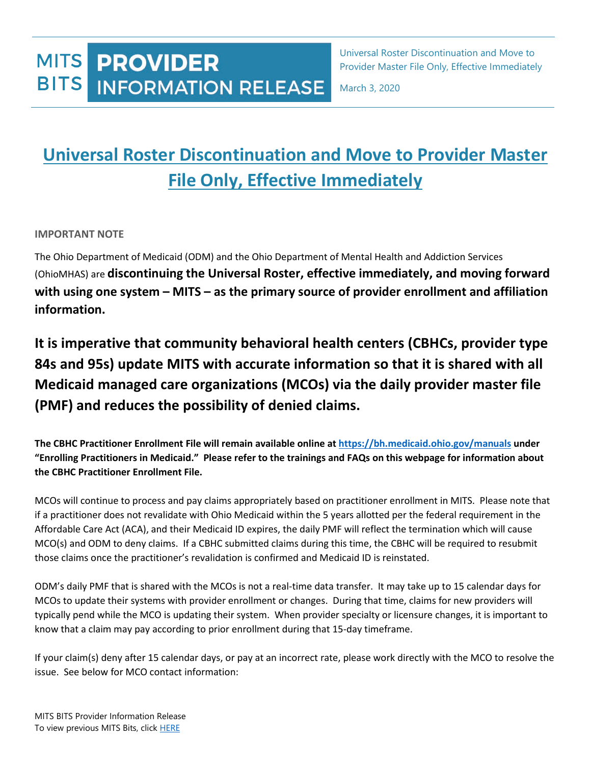## **MITS PROVIDER BITS INFORMATION RELEASE**

Universal Roster Discontinuation and Move to Provider Master File Only, Effective Immediately

March 3, 2020

# **Universal Roster Discontinuation and Move to Provider Master File Only, Effective Immediately**

### **IMPORTANT NOTE**

The Ohio Department of Medicaid (ODM) and the Ohio Department of Mental Health and Addiction Services (OhioMHAS) are **discontinuing the Universal Roster, effective immediately, and moving forward with using one system – MITS – as the primary source of provider enrollment and affiliation information.**

**It is imperative that community behavioral health centers (CBHCs, provider type 84s and 95s) update MITS with accurate information so that it is shared with all Medicaid managed care organizations (MCOs) via the daily provider master file (PMF) and reduces the possibility of denied claims.**

**The CBHC Practitioner Enrollment File will remain available online at<https://bh.medicaid.ohio.gov/manuals> under "Enrolling Practitioners in Medicaid." Please refer to the trainings and FAQs on this webpage for information about the CBHC Practitioner Enrollment File.** 

MCOs will continue to process and pay claims appropriately based on practitioner enrollment in MITS. Please note that if a practitioner does not revalidate with Ohio Medicaid within the 5 years allotted per the federal requirement in the Affordable Care Act (ACA), and their Medicaid ID expires, the daily PMF will reflect the termination which will cause MCO(s) and ODM to deny claims. If a CBHC submitted claims during this time, the CBHC will be required to resubmit those claims once the practitioner's revalidation is confirmed and Medicaid ID is reinstated.

ODM's daily PMF that is shared with the MCOs is not a real-time data transfer. It may take up to 15 calendar days for MCOs to update their systems with provider enrollment or changes. During that time, claims for new providers will typically pend while the MCO is updating their system. When provider specialty or licensure changes, it is important to know that a claim may pay according to prior enrollment during that 15-day timeframe.

If your claim(s) deny after 15 calendar days, or pay at an incorrect rate, please work directly with the MCO to resolve the issue. See below for MCO contact information: